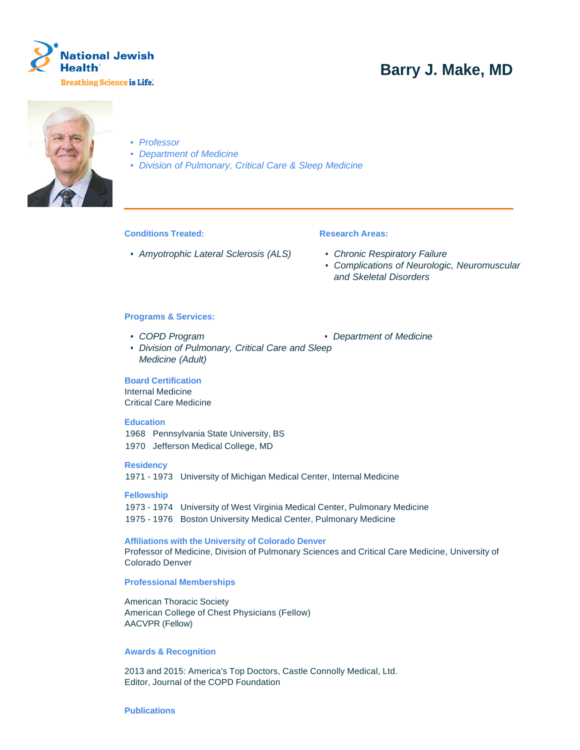

# **Barry J. Make, MD**



- Professor
- Department of Medicine
- Division of Pulmonary, Critical Care & Sleep Medicine

## **Conditions Treated:**

• Amyotrophic Lateral Sclerosis (ALS)

## **Research Areas:**

- Chronic Respiratory Failure
- Complications of Neurologic, Neuromuscular and Skeletal Disorders

#### **Programs & Services:**

- 
- Division of Pulmonary, Critical Care and Sleep Medicine (Adult)

## **Board Certification**

Internal Medicine Critical Care Medicine

#### **Education**

1968 Pennsylvania State University, BS 1970 Jefferson Medical College, MD

#### **Residency**

1971 - 1973 University of Michigan Medical Center, Internal Medicine

## **Fellowship**

1973 - 1974 University of West Virginia Medical Center, Pulmonary Medicine 1975 - 1976 Boston University Medical Center, Pulmonary Medicine

#### **Affiliations with the University of Colorado Denver**

Professor of Medicine, Division of Pulmonary Sciences and Critical Care Medicine, University of Colorado Denver

#### **Professional Memberships**

American Thoracic Society American College of Chest Physicians (Fellow) AACVPR (Fellow)

### **Awards & Recognition**

2013 and 2015: America's Top Doctors, Castle Connolly Medical, Ltd. Editor, Journal of the COPD Foundation

#### **Publications**

• COPD Program • Department of Medicine